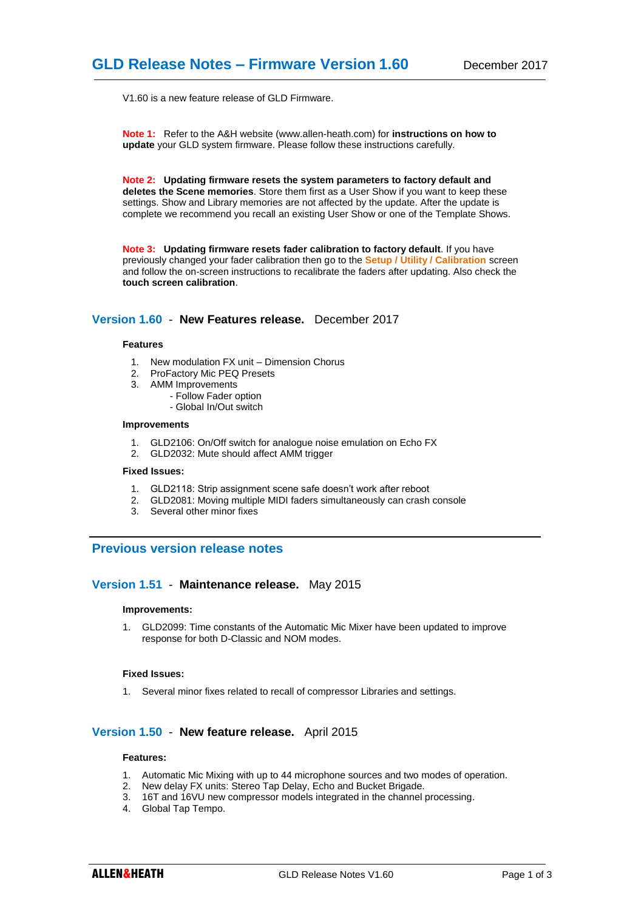V1.60 is a new feature release of GLD Firmware.

**Note 1:** Refer to the A&H website (www.allen-heath.com) for **instructions on how to update** your GLD system firmware. Please follow these instructions carefully.

**Note 2: Updating firmware resets the system parameters to factory default and deletes the Scene memories**. Store them first as a User Show if you want to keep these settings. Show and Library memories are not affected by the update. After the update is complete we recommend you recall an existing User Show or one of the Template Shows.

**Note 3: Updating firmware resets fader calibration to factory default**. If you have previously changed your fader calibration then go to the **Setup / Utility / Calibration** screen and follow the on-screen instructions to recalibrate the faders after updating. Also check the **touch screen calibration**.

# **Version 1.60** - **New Features release.** December 2017

#### **Features**

- 1. New modulation FX unit Dimension Chorus
- 2. ProFactory Mic PEQ Presets
- 3. AMM Improvements
	- Follow Fader option
	- Global In/Out switch

#### **Improvements**

- 1. GLD2106: On/Off switch for analogue noise emulation on Echo FX
- 2. GLD2032: Mute should affect AMM trigger

# **Fixed Issues:**

- 1. GLD2118: Strip assignment scene safe doesn't work after reboot
- 2. GLD2081: Moving multiple MIDI faders simultaneously can crash console
- 3. Several other minor fixes

# **Previous version release notes**

### **Version 1.51** - **Maintenance release.** May 2015

#### **Improvements:**

1. GLD2099: Time constants of the Automatic Mic Mixer have been updated to improve response for both D-Classic and NOM modes.

#### **Fixed Issues:**

1. Several minor fixes related to recall of compressor Libraries and settings.

# **Version 1.50** - **New feature release.** April 2015

#### **Features:**

- 1. Automatic Mic Mixing with up to 44 microphone sources and two modes of operation.
- 2. New delay FX units: Stereo Tap Delay, Echo and Bucket Brigade.
- 3. 16T and 16VU new compressor models integrated in the channel processing.
- 4. Global Tap Tempo.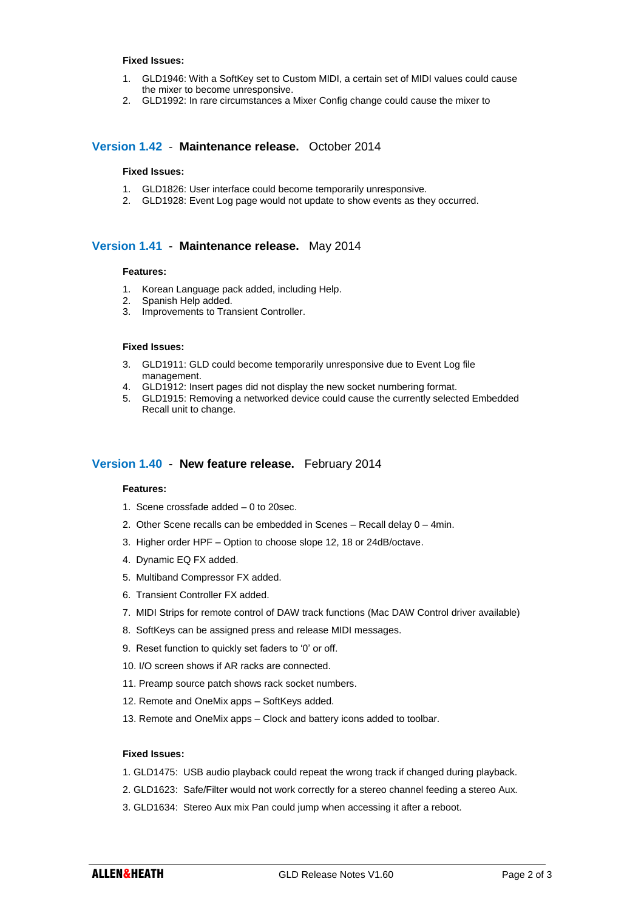#### **Fixed Issues:**

- 1. GLD1946: With a SoftKey set to Custom MIDI, a certain set of MIDI values could cause the mixer to become unresponsive.
- 2. GLD1992: In rare circumstances a Mixer Config change could cause the mixer to

# **Version 1.42** - **Maintenance release.** October 2014

# **Fixed Issues:**

- 1. GLD1826: User interface could become temporarily unresponsive.
- 2. GLD1928: Event Log page would not update to show events as they occurred.

### **Version 1.41** - **Maintenance release.** May 2014

#### **Features:**

- 1. Korean Language pack added, including Help.
- 2. Spanish Help added.
- 3. Improvements to Transient Controller.

#### **Fixed Issues:**

- 3. GLD1911: GLD could become temporarily unresponsive due to Event Log file management.
- 4. GLD1912: Insert pages did not display the new socket numbering format.
- 5. GLD1915: Removing a networked device could cause the currently selected Embedded Recall unit to change.

### **Version 1.40** - **New feature release.** February 2014

#### **Features:**

- 1. Scene crossfade added 0 to 20sec.
- 2. Other Scene recalls can be embedded in Scenes Recall delay 0 4min.
- 3. Higher order HPF Option to choose slope 12, 18 or 24dB/octave.
- 4. Dynamic EQ FX added.
- 5. Multiband Compressor FX added.
- 6. Transient Controller FX added.
- 7. MIDI Strips for remote control of DAW track functions (Mac DAW Control driver available)
- 8. SoftKeys can be assigned press and release MIDI messages.
- 9. Reset function to quickly set faders to '0' or off.
- 10. I/O screen shows if AR racks are connected.
- 11. Preamp source patch shows rack socket numbers.
- 12. Remote and OneMix apps SoftKeys added.
- 13. Remote and OneMix apps Clock and battery icons added to toolbar.

## **Fixed Issues:**

- 1. GLD1475: USB audio playback could repeat the wrong track if changed during playback.
- 2. GLD1623: Safe/Filter would not work correctly for a stereo channel feeding a stereo Aux.
- 3. GLD1634: Stereo Aux mix Pan could jump when accessing it after a reboot.